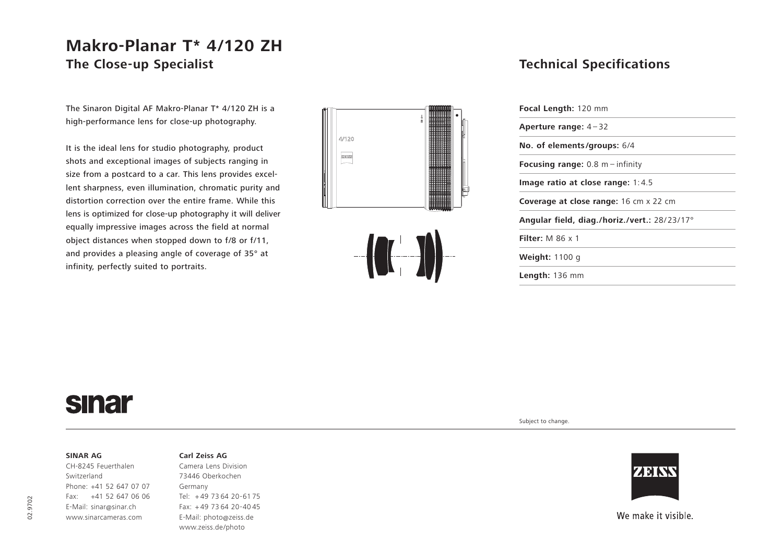## **Makro-Planar T\* 4/120 ZH The Close-up Specialist**

The Sinaron Digital AF Makro-Planar T\* 4/120 ZH is a high-performance lens for close-up photography.

It is the ideal lens for studio photography, product shots and exceptional images of subjects ranging in size from a postcard to a car. This lens provides excellent sharpness, even illumination, chromatic purity and distortion correction over the entire frame. While this lens is optimized for close-up photography it will deliver equally impressive images across the field at normal object distances when stopped down to f/8 or f/11, and provides a pleasing angle of coverage of 35° at infinity, perfectly suited to portraits.





### **Technical Specifications**

| Focal Length: 120 mm                         |
|----------------------------------------------|
| Aperture range: $4-32$                       |
| No. of elements/groups: 6/4                  |
| <b>Focusing range:</b> $0.8$ m – infinity    |
| Image ratio at close range: $1:4.5$          |
| Coverage at close range: 16 cm x 22 cm       |
| Angular field, diag./horiz./vert.: 28/23/17° |
| Filter: $M$ 86 $\times$ 1                    |
| <b>Weight:</b> 1100 g                        |
| <b>Length:</b> $136$ mm                      |
|                                              |

# **sinar**

**SINAR AG**

CH-8245 Feuerthalen Switzerland Phone: +41 52 647 07 07 Fax: +41 52 647 06 06 E-Mail: sinar@sinar.ch www.sinarcameras.com

#### **Carl Zeiss AG**

Camera Lens Division 73446 Oberkochen Germany Tel: <sup>+</sup> 49 73 64 20-61 75 Fax: + 49 73 64 20-40 45 E-Mail: photo@zeiss.de www.zeiss.de/photo

Subject to change.



We make it visible.